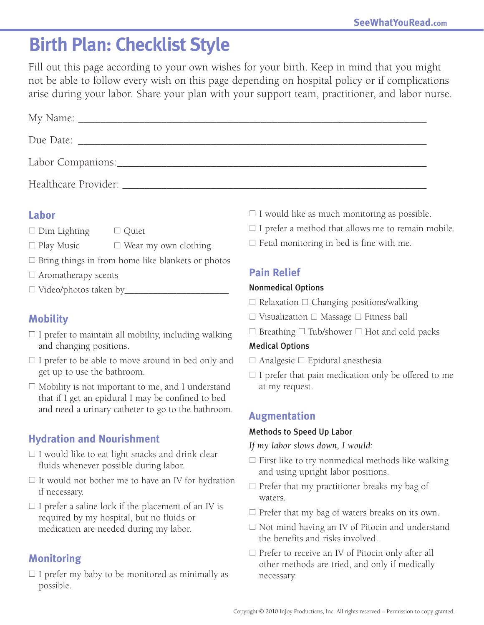## **Birth Plan: Checklist Style**

Fill out this page according to your own wishes for your birth. Keep in mind that you might not be able to follow every wish on this page depending on hospital policy or if complications arise during your labor. Share your plan with your support team, practitioner, and labor nurse.

| Due Date:                              |  |
|----------------------------------------|--|
| Labor Companions:_____________________ |  |
| Healthcare Provider:                   |  |

#### **Labor**

- $\Box$  Dim Lighting  $\Box$  Ouiet
- $\Box$  Play Music  $\Box$  Wear my own clothing
- $\Box$  Bring things in from home like blankets or photos
- $\Box$  Aromatherapy scents
- $\Box$  Video/photos taken by

## **Mobility**

- $\Box$  I prefer to maintain all mobility, including walking and changing positions.
- $\Box$  I prefer to be able to move around in bed only and get up to use the bathroom.
- $\Box$  Mobility is not important to me, and I understand that if I get an epidural I may be confined to bed and need a urinary catheter to go to the bathroom.

## **Hydration and Nourishment**

- $\Box$  I would like to eat light snacks and drink clear fluids whenever possible during labor.
- $\Box$  It would not bother me to have an IV for hydration if necessary.
- $\Box$  I prefer a saline lock if the placement of an IV is required by my hospital, but no fluids or medication are needed during my labor.

## **Monitoring**

 $\Box$  I prefer my baby to be monitored as minimally as possible.

- $\Box$  I would like as much monitoring as possible.
- $\Box$  I prefer a method that allows me to remain mobile.
- $\Box$  Fetal monitoring in bed is fine with me.

## **Pain Relief**

#### Nonmedical Options

- $\Box$  Relaxation  $\Box$  Changing positions/walking
- $\Box$  Visualization  $\Box$  Massage  $\Box$  Fitness ball
- $\Box$  Breathing  $\Box$  Tub/shower  $\Box$  Hot and cold packs

#### Medical Options

- $\Box$  Analgesic  $\Box$  Epidural anesthesia
- $\Box$  I prefer that pain medication only be offered to me at my request.

#### **Augmentation**

#### Methods to Speed Up Labor

- *If my labor slows down, I would:*
- $\Box$  First like to try nonmedical methods like walking and using upright labor positions.
- $\Box$  Prefer that my practitioner breaks my bag of waters.
- $\Box$  Prefer that my bag of waters breaks on its own.
- $\Box$  Not mind having an IV of Pitocin and understand the benefits and risks involved.
- $\Box$  Prefer to receive an IV of Pitocin only after all other methods are tried, and only if medically necessary.